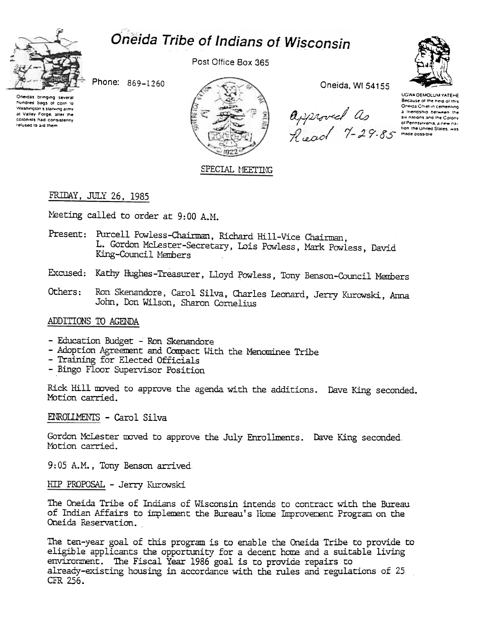



Post Office Box 365

Phone: 869-1260

Oneidas bringing several hundred bags of corn to Washington's starving army at Valley Force, after the colonists had consistently relused to aid them



Oneida, WI 54155

 $\begin{array}{cc} \mathbf{a}_{\text{p}} \text{if } \mathbf{a}_{\text{p}} \text{ is a linear combination of the following}\\ \mathbf{a}_{\text{p}} \text{ is a linear combination of the Conv}\\ \mathbf{a}_{\text{p}} \text{ is a random random variable.} \\ \mathbf{a}_{\text{p}} \text{ is a random variable.} \\ \mathbf{a}_{\text{p}} \text{ is a random variable.} \end{array}$ 

**UGWA DEMOLUM YATEHE** Because of the neight this Oneida Chief in cementing

## SPECIAL MEETING

## FRIDAY, JULY 26, 1985

Meeting called to order at 9:00 A.M.

- Present: Purcell Powless-Chairman, Richard Hill-Vice Chairman, L. Gordon McLester-Secretary, Lois Powless, Mark Powless, David King-Council Members
- Excused: Kathy Hughes-Treasurer, Lloyd Powless, Tony Benson-Council Members
- Ron Skenandore, Carol Silva, Charles Leonard, Jerry Kurowski, Anna Others: John, Don Wilson, Sharon Cornelius

#### ADDITIONS TO AGENDA

- Education Budget Ron Skenandore
- Adoption Agreement and Compact With the Menominee Tribe
- Training for Elected Officials
- Bingo Floor Supervisor Position

Rick Hill moved to approve the agenda with the additions. Dave King seconded. Motion carried.

ENROLLMENTS - Carol Silva

Gordon McLester moved to approve the July Enrollments. Dave King seconded. Motion carried.

9:05 A.M., Tony Benson arrived.

HIP PROPOSAL - Jerry Kurowski

The Oneida Tribe of Indians of Wisconsin intends to contract with the Bureau of Indian Affairs to implement the Bureau's Home Improvement Program on the Oneida Reservation.

The ten-year goal of this program is to enable the Oneida Tribe to provide to eligible applicants the opportunity for a decent home and a suitable living environment. The Fiscal Year 1986 goal is to provide repairs to already-existing housing in accordance with the rules and regulations of 25 CFR 256.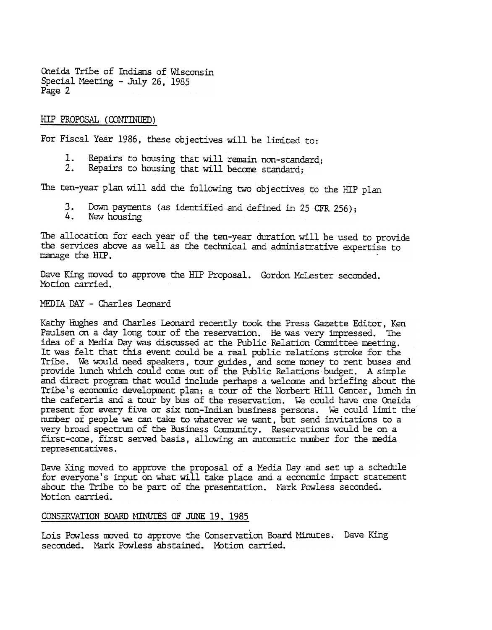Oneida Tribe of Indians of Wisconsin Special Meeting - July 26, 1985 Page 2

#### HIP PROPOSAL (CONTINUED)

For Fiscal Year 1986, these objectives will be limited to:

- Repairs to housing that will remain non-standard; 1.
- 2. Repairs to housing that will becare standard;

The ten-year plan will add the following two objectives to the HIP plan

- 3. Down payments (as identified and defined in 25 CFR 256);<br>4. New housing
- New housing

The allocation for each year of the ten-year duration will be used to provide the services above as well as the teclmical and administrative expertise to manage the HIP.

Dave King moved to approve the HIP Proposal. Gordon McLester seconded. Motion carried.

### MEDIA DAY -Charles Leonard

Kathy Hughes and Charles Leonard recently took the Press Gazette Editor, Ken Paulsen on a day long tour of the reservation. He was very impressed. The idea of a Media Day was discussed at the Public Relation Committee meeting. It was felt that this event could be a real public relations stroke for the Tribe. We would need speakers, tour guides, and some money to rent buses and provide lunch which could come out of the Public Relations budget. A simple and direct program that would include perhaps a welcome and briefing about the Tribe's economic development plan; a tour of the Norbert Hill Center, lunch in the cafeteria and a tour by bus of the reservation. We could have one Oneida present for every five or six non-Indian business persons. We could limit the number of people we can take to whatever we want, but send invitations to a very broad spectrum of the Business Community. Reservations would be on a first-come, first served basis, allowing an automatic number for the media representatives.

Dave King moved to approve the proposal of a Media Day and set up a schedule for everyone's input on what will take place and a economic impact statement about the Tribe to be part of the presentation. Nark Powless seconded. Motion carried.

### CONSERVATION BOARD MINUTES OF JUNE 19, 1985

Lois Powless moved to approve the Conservation Board Minutes. Dave King seconded. Mark Powless abstained. Motion carried.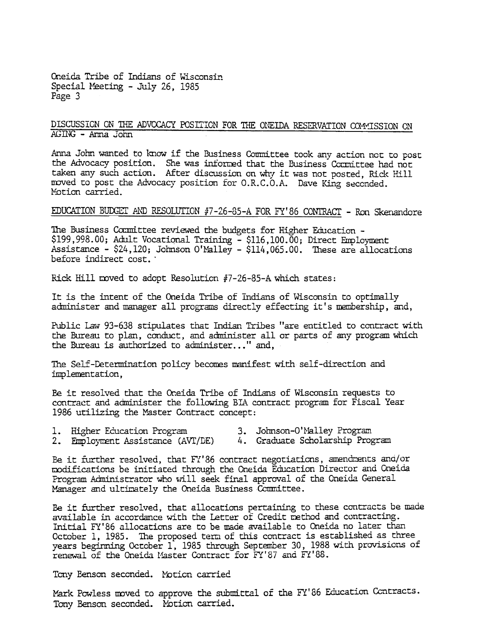Oneida Tribe of Indians of Wisconsin Special Meeting - July 26, 1985 Page 3

### DISCUSSION ON THE ADVOCACY POSITION FOR THE ONEIDA RESERVATION COMMISSION ON  $AGING - Anna John$

Anna John wanted to know if the Business Committee took any action not to post the Advocacy position. She was informed that the Business Committee had not taken any such action. After discussion on why it was not posted, Rick Hill moved to post the Advocacy position for O.R.C.O.A. Dave King seconded. Motion carried.

# EDUCATION BUDGET AND RESOLUTION #7-26-85-A FOR FY'86 CONTRACT - Ron Skenandore

The Business Committee reviewed the budgets for Higher Education -\$199,998.00; Adult Vocational Training - \$116,100.00; Direct Employment Assistance - \$24,120; Johnson O'Malley - \$114,065.00. These are allocations before indirect cost.

Rick Hill moved to adopt Resolution #7-26-85-A which states:

It is the intent of the Oneida Tribe of Indians of Wisconsin to optimally administer and manager all programs directly effecting it's membership, and,

Public Law 93-638 stipulates that Indian Tribes "are entitled to contract with the Bureau to plan, conduct, and administer all or parts of any program which the Bureau is authorized to administer..." and.

The Self-Determination policy becomes manifest with self-direction and implementation.

Be it resolved that the Oneida Tribe of Indians of Wisconsin requests to contract and administer the following BIA contract program for Fiscal Year 1986 utilizing the Master Contract concept:

| i. | Higher Education Program | 3. Johnson-O'Malley Program |  |  |
|----|--------------------------|-----------------------------|--|--|
|    |                          |                             |  |  |

2. Employment Assistance (AVT/DE) 4. Graduate Scholarship Program

Be it further resolved, that FY'86 contract negotiations, amendments and/or modifications be initiated through the Oneida Education Director and Oneida Program Administrator who will seek final approval of the Oneida General Manager and ultimately the Oneida Business Committee.

Be it further resolved, that allocations pertaining to these contracts be made available in accordance with the Letter of Credit method and contracting. Initial FY'86 allocations are to be made available to Oneida no later than October 1, 1985. The proposed term of this contract is established as three years beginning October 1, 1985 through September 30, 1988 with provisions of renewal of the Oneida Master Contract for FY'87 and FY'88.

Tony Benson seconded. Motion carried

Mark Powless moved to approve the submittal of the FY'86 Education Contracts. Tony Benson seconded. Motion carried.